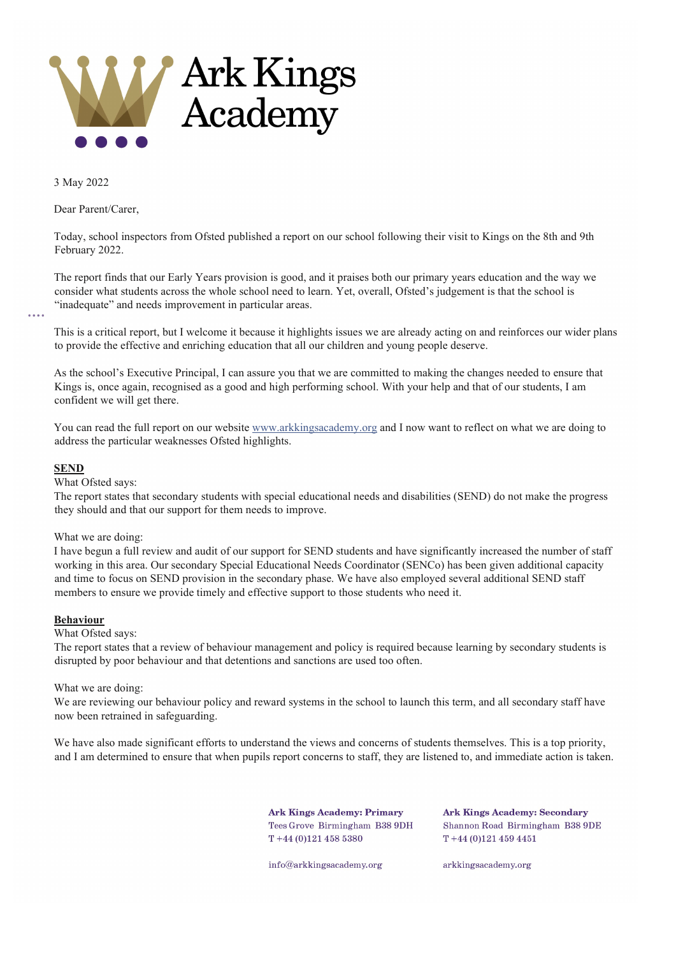

3 May 2022

Dear Parent/Carer,

Today, school inspectors from Ofsted published a report on our school following their visit to Kings on the 8th and 9th February 2022.

The report finds that our Early Years provision is good, and it praises both our primary years education and the way we consider what students across the whole school need to learn. Yet, overall, Ofsted's judgement is that the school is "inadequate" and needs improvement in particular areas.

This is a critical report, but I welcome it because it highlights issues we are already acting on and reinforces our wider plans to provide the effective and enriching education that all our children and young people deserve.

As the school's Executive Principal, I can assure you that we are committed to making the changes needed to ensure that Kings is, once again, recognised as a good and high performing school. With your help and that of our students, I am confident we will get there.

You can read the full report on our website [www.arkkingsacademy.org](http://www.arkkingsacademy.org/) and I now want to reflect on what we are doing to address the particular weaknesses Ofsted highlights.

# **SEND**

What Ofsted says:

The report states that secondary students with special educational needs and disabilities (SEND) do not make the progress they should and that our support for them needs to improve.

# What we are doing:

I have begun a full review and audit of our support for SEND students and have significantly increased the number of staff working in this area. Our secondary Special Educational Needs Coordinator (SENCo) has been given additional capacity and time to focus on SEND provision in the secondary phase. We have also employed several additional SEND staff members to ensure we provide timely and effective support to those students who need it.

# **Behaviour**

What Ofsted says:

The report states that a review of behaviour management and policy is required because learning by secondary students is disrupted by poor behaviour and that detentions and sanctions are used too often.

# What we are doing:

We are reviewing our behaviour policy and reward systems in the school to launch this term, and all secondary staff have now been retrained in safeguarding.

We have also made significant efforts to understand the views and concerns of students themselves. This is a top priority, and I am determined to ensure that when pupils report concerns to staff, they are listened to, and immediate action is taken.

> **Ark Kings Academy: Primary** Tees Grove Birmingham B38 9DH  $T + 44(0)1214585380$

**Ark Kings Academy: Secondary** Shannon Road Birmingham B38 9DE  $T + 44(0)1214594451$ 

info@arkkingsacademy.org

arkkingsacademy.org